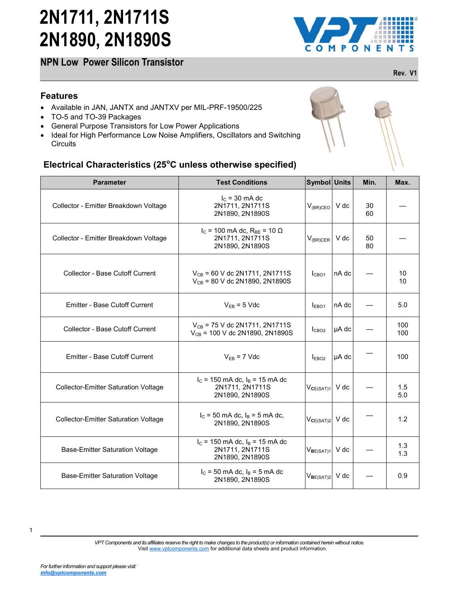**NPN Low Power Silicon Transistor** 



**Rev. V1**

### **Features**

- Available in JAN, JANTX and JANTXV per MIL-PRF-19500/225
- TO-5 and TO-39 Packages
- General Purpose Transistors for Low Power Applications
- Ideal for High Performance Low Noise Amplifiers, Oscillators and Switching **Circuits**

### **Electrical Characteristics (25<sup>o</sup>C unless otherwise specified)**

| <b>Circuits</b>                                                                  | Ideal for High Performance Low Noise Amplifiers, Oscillators and Switching      |                       |       |          |      |
|----------------------------------------------------------------------------------|---------------------------------------------------------------------------------|-----------------------|-------|----------|------|
| Electrical Characteristics (25°C unless otherwise specified)<br><b>Parameter</b> | <b>Test Conditions</b>                                                          | Symbol Units          |       | Min.     | Max. |
| Collector - Emitter Breakdown Voltage                                            | $I_c$ = 30 mA dc<br>2N1711, 2N1711S<br>2N1890, 2N1890S                          | $V_{(BR)CEO}$ V dc    |       | 30<br>60 |      |
| Collector - Emitter Breakdown Voltage                                            | $I_C$ = 100 mA dc, R <sub>BE</sub> = 10 Ω<br>2N1711, 2N1711S<br>2N1890, 2N1890S | $V_{(BR)CER}$         | V dc  | 50<br>80 |      |
| Collector - Base Cutoff Current                                                  | $V_{CB}$ = 60 V dc 2N1711, 2N1711S<br>$V_{CB}$ = 80 V dc 2N1890, 2N1890S        | I <sub>CBO1</sub>     | nA dc |          |      |
| Emitter - Base Cutoff Current                                                    | $V_{EB} = 5$ Vdc                                                                | I <sub>EBO1</sub>     | nA dc |          |      |
| <b>Collector - Base Cutoff Current</b>                                           | $V_{CB}$ = 75 V dc 2N1711, 2N1711S<br>$V_{CB}$ = 100 V dc 2N1890, 2N1890S       | I <sub>CBO2</sub>     | µA dc |          |      |
| <b>Emitter - Base Cutoff Current</b>                                             | $V_{EB}$ = 7 Vdc                                                                | $I_{EBO2}$            | µA dc |          |      |
| <b>Collector-Emitter Saturation Voltage</b>                                      | $I_c$ = 150 mA dc, $I_B$ = 15 mA dc<br>2N1711, 2N1711S<br>2N1890, 2N1890S       | $V_{CE(SAT)1}$        | V dc  |          |      |
| <b>Collector-Emitter Saturation Voltage</b>                                      | $I_c = 50$ mA dc, $I_B = 5$ mA dc,<br>2N1890, 2N1890S                           | $V_{CE(SAT)2}$ V dc   |       |          |      |
| <b>Base-Emitter Saturation Voltage</b>                                           | $I_c$ = 150 mA dc, $I_B$ = 15 mA dc<br>2N1711, 2N1711S<br>2N1890, 2N1890S       | V <sub>BE(SAT)1</sub> | V dc  |          |      |
| <b>Base-Emitter Saturation Voltage</b>                                           | $I_c = 50$ mA dc, $I_B = 5$ mA dc<br>2N1890, 2N1890S                            | $V_{BE(SAT)2}$        | V dc  |          |      |



*For further information and support please visit: [info@vptcomponents.com](mailto:info@vptcomponents.com)*

*VPT Components and its affiliates reserve the right to make changes to the product(s) or information contained herein without notice.*  Visit [www.vptcomponents.com](http://www.vptcomponents.com) for additional data sheets and product information.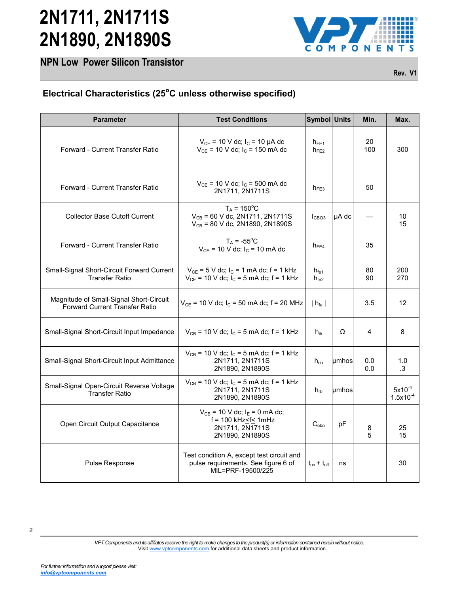**NPN Low Power Silicon Transistor** 



**Rev. V1**

### **Electrical Characteristics (25<sup>o</sup>C unless otherwise specified)**

| <b>Parameter</b>                                                                 | <b>Test Conditions</b>                                                                                          | Symbol Units                         |       | Min.       | Max.                         |
|----------------------------------------------------------------------------------|-----------------------------------------------------------------------------------------------------------------|--------------------------------------|-------|------------|------------------------------|
| Forward - Current Transfer Ratio                                                 | $V_{CE}$ = 10 V dc; l <sub>c</sub> = 10 µA dc<br>$V_{CE}$ = 10 V dc; $I_C$ = 150 mA dc                          | $h_{FE1}$<br>$h_{FE2}$               |       | 20<br>100  | 300                          |
| Forward - Current Transfer Ratio                                                 | $V_{CE}$ = 10 V dc; $I_C$ = 500 mA dc<br>2N1711, 2N1711S                                                        | $h_{FE3}$                            |       | 50         |                              |
| <b>Collector Base Cutoff Current</b>                                             | $T_A = 150^{\circ}C$<br>$V_{CB}$ = 60 V dc, 2N1711, 2N1711S<br>$V_{CB}$ = 80 V dc, 2N1890, 2N1890S              | I <sub>CBO3</sub>                    | µA dc |            | 10<br>15                     |
| Forward - Current Transfer Ratio                                                 | $T_A = -55^{\circ}$ C<br>$V_{CE}$ = 10 V dc; $I_C$ = 10 mA dc                                                   | $h_{FE4}$                            |       | 35         |                              |
| Small-Signal Short-Circuit Forward Current<br><b>Transfer Ratio</b>              | $V_{CE}$ = 5 V dc; $I_C$ = 1 mA dc; f = 1 kHz<br>$V_{CE}$ = 10 V dc; $I_C$ = 5 mA dc; f = 1 kHz                 | $h_{\text{fe1}}$<br>$h_{\text{fe2}}$ |       | 80<br>90   | 200<br>270                   |
| Magnitude of Small-Signal Short-Circuit<br><b>Forward Current Transfer Ratio</b> | $V_{CE}$ = 10 V dc; $I_C$ = 50 mA dc; f = 20 MHz                                                                | $h_{\text{fe}}$                      |       | 3.5        | 12                           |
| Small-Signal Short-Circuit Input Impedance                                       | $V_{CB}$ = 10 V dc; l <sub>c</sub> = 5 mA dc; f = 1 kHz                                                         | $h_{ib}$                             | Ω     | 4          | 8                            |
| Small-Signal Short-Circuit Input Admittance                                      | $V_{CB}$ = 10 V dc; $I_C$ = 5 mA dc; f = 1 kHz<br>2N1711, 2N1711S<br>2N1890, 2N1890S                            | $h_{ob}$                             | umhos | 0.0<br>0.0 | 1.0<br>.3                    |
| Small-Signal Open-Circuit Reverse Voltage<br><b>Transfer Ratio</b>               | $V_{CB}$ = 10 V dc; l <sub>c</sub> = 5 mA dc; f = 1 kHz<br>2N1711, 2N1711S<br>2N1890, 2N1890S                   | $h_{rb}$                             | umhos |            | $5x10^{-4}$<br>$1.5x10^{-4}$ |
| Open Circuit Output Capacitance                                                  | $V_{CB}$ = 10 V dc; $I_E$ = 0 mA dc;<br>$f = 100$ kHz $\leq f \leq 1$ mHz<br>2N1711, 2N1711S<br>2N1890, 2N1890S | $C_{\text{obo}}$                     | pF    | 8<br>5     | 25<br>15                     |
| Pulse Response                                                                   | Test condition A, except test circuit and<br>pulse requirements. See figure 6 of<br>MIL=PRF-19500/225           | $t_{on} + t_{off}$                   | ns    |            | 30                           |

<sup>2</sup>

*VPT Components and its affiliates reserve the right to make changes to the product(s) or information contained herein without notice.*  Visit [www.vptcomponents.com](http://www.vptcomponents.com) for additional data sheets and product information.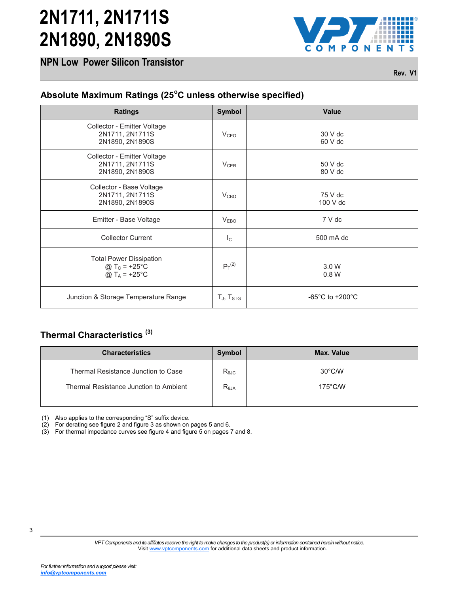



**Rev. V1**

| <b>Ratings</b>                                                                                                          | Symbol            | Value                                 |
|-------------------------------------------------------------------------------------------------------------------------|-------------------|---------------------------------------|
| Collector - Emitter Voltage<br>2N1711, 2N1711S<br>2N1890, 2N1890S                                                       | V <sub>CEO</sub>  | 30 V dc<br>60 V dc                    |
| Collector - Emitter Voltage<br>2N1711, 2N1711S<br>2N1890, 2N1890S                                                       | $V_{CER}$         | 50 V dc<br>80 V dc                    |
| Collector - Base Voltage<br>2N1711, 2N1711S<br>2N1890, 2N1890S                                                          | V <sub>CBO</sub>  | 75 V dc<br>100 V dc                   |
| Emitter - Base Voltage                                                                                                  | V <sub>EBO</sub>  | 7 V dc                                |
| <b>Collector Current</b>                                                                                                | $I_{\rm C}$       | 500 mA dc                             |
| <b>Total Power Dissipation</b><br>@ $T_c = +25^{\circ}C$<br>@ $T_A$ = +25°C                                             | $P_T^{(2)}$       | 3.0 W<br>0.8 W                        |
|                                                                                                                         |                   |                                       |
| Junction & Storage Temperature Range                                                                                    | $T_J$ , $T_{STG}$ | -65 $^{\circ}$ C to +200 $^{\circ}$ C |
| <b>Characteristics</b>                                                                                                  | <b>Symbol</b>     | Max. Value                            |
|                                                                                                                         | $R_{\theta JC}$   | 30°C/W                                |
| Thermal Characteristics <sup>(3)</sup><br>Thermal Resistance Junction to Case<br>Thermal Resistance Junction to Ambient | $R_{\theta JA}$   | 175°C/W                               |

### **Thermal Characteristics (3)**

| <b>Characteristics</b>                                                        | Symbol                            | Max. Value                            |
|-------------------------------------------------------------------------------|-----------------------------------|---------------------------------------|
| Thermal Resistance Junction to Case<br>Thermal Resistance Junction to Ambient | $R_{\theta$ JC<br>$R_{\theta JA}$ | $30^{\circ}$ C/W<br>$175^{\circ}$ C/W |
|                                                                               |                                   |                                       |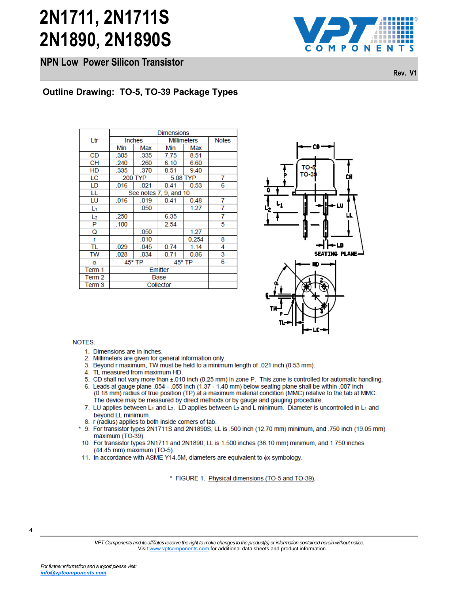**NPN Low Power Silicon Transistor** 



**Rev. V1**

| <b>Millimeters</b><br>Ltr<br>Inches<br><b>Notes</b><br>Min<br>Max<br>Min<br>Max<br><b>CD</b><br>.305<br>7.75<br>335<br>8.51<br><b>CH</b><br>6.60<br>240<br>.260<br>6.10<br>HD<br>.335<br>.370<br>8.51<br>9.40<br>LC<br>200 TYP<br>5.08 TYP<br>7<br>LD<br>.016<br>.021<br>0.41<br>0.53<br>6<br>LL<br>See notes<br>7, 9, and 10<br>LU<br>0.41<br>7<br>.016<br>.019<br>0.48<br>.050<br>1.27<br>7<br>L1<br>.250<br>6.35<br>7<br>L <sub>2</sub><br>P<br>2.54<br>5<br>.100<br>1.27<br>Q<br>.050<br>.010<br>0.254<br>8<br>r<br>TL<br>.029<br>.045<br>0.74<br>1.14<br>4<br>034<br>3<br>TW<br>028<br>0.71<br>0.86<br>6<br>45° TP<br>45° TP<br>α<br>Emitter<br>Term 1<br>Term <sub>2</sub><br><b>Base</b><br>Term 3<br>Collector<br>NOTES:<br>1. Dimensions are in inches.<br>2. Millimeters are given for general information only.<br>4. TL measured from maximum HD.<br>beyond LL minimum.<br>8. r (radius) applies to both inside corners of tab.<br>maximum (TO-39). | (44.45 mm) maximum (TO-5).<br>11. In accordance with ASME Y14.5M, diameters are equ<br>* FIGURE 1. Physical di |  |  | <b>Dimensions</b> |  |
|-----------------------------------------------------------------------------------------------------------------------------------------------------------------------------------------------------------------------------------------------------------------------------------------------------------------------------------------------------------------------------------------------------------------------------------------------------------------------------------------------------------------------------------------------------------------------------------------------------------------------------------------------------------------------------------------------------------------------------------------------------------------------------------------------------------------------------------------------------------------------------------------------------------------------------------------------------------------|----------------------------------------------------------------------------------------------------------------|--|--|-------------------|--|
|                                                                                                                                                                                                                                                                                                                                                                                                                                                                                                                                                                                                                                                                                                                                                                                                                                                                                                                                                                 |                                                                                                                |  |  |                   |  |
|                                                                                                                                                                                                                                                                                                                                                                                                                                                                                                                                                                                                                                                                                                                                                                                                                                                                                                                                                                 |                                                                                                                |  |  |                   |  |
|                                                                                                                                                                                                                                                                                                                                                                                                                                                                                                                                                                                                                                                                                                                                                                                                                                                                                                                                                                 |                                                                                                                |  |  |                   |  |
|                                                                                                                                                                                                                                                                                                                                                                                                                                                                                                                                                                                                                                                                                                                                                                                                                                                                                                                                                                 |                                                                                                                |  |  |                   |  |
|                                                                                                                                                                                                                                                                                                                                                                                                                                                                                                                                                                                                                                                                                                                                                                                                                                                                                                                                                                 |                                                                                                                |  |  |                   |  |
|                                                                                                                                                                                                                                                                                                                                                                                                                                                                                                                                                                                                                                                                                                                                                                                                                                                                                                                                                                 |                                                                                                                |  |  |                   |  |
|                                                                                                                                                                                                                                                                                                                                                                                                                                                                                                                                                                                                                                                                                                                                                                                                                                                                                                                                                                 |                                                                                                                |  |  |                   |  |
| 3. Beyond r maximum, TW must be held to a minimum le<br>5. CD shall not vary more than ±.010 inch (0.25 mm) in z<br>6. Leads at gauge plane .054 - .055 inch (1.37 - 1.40 mn<br>(0.18 mm) radius of true position (TP) at a maximum r<br>The device may be measured by direct methods or by<br>7. LU applies between L <sub>1</sub> and L <sub>2</sub> . LD applies between L <sub>2</sub><br>9. For transistor types 2N1711S and 2N1890S, LL is .50<br>10. For transistor types 2N1711 and 2N1890, LL is 1.500                                                                                                                                                                                                                                                                                                                                                                                                                                                 |                                                                                                                |  |  |                   |  |
|                                                                                                                                                                                                                                                                                                                                                                                                                                                                                                                                                                                                                                                                                                                                                                                                                                                                                                                                                                 |                                                                                                                |  |  |                   |  |
|                                                                                                                                                                                                                                                                                                                                                                                                                                                                                                                                                                                                                                                                                                                                                                                                                                                                                                                                                                 |                                                                                                                |  |  |                   |  |
|                                                                                                                                                                                                                                                                                                                                                                                                                                                                                                                                                                                                                                                                                                                                                                                                                                                                                                                                                                 |                                                                                                                |  |  |                   |  |
|                                                                                                                                                                                                                                                                                                                                                                                                                                                                                                                                                                                                                                                                                                                                                                                                                                                                                                                                                                 |                                                                                                                |  |  |                   |  |
|                                                                                                                                                                                                                                                                                                                                                                                                                                                                                                                                                                                                                                                                                                                                                                                                                                                                                                                                                                 |                                                                                                                |  |  |                   |  |
|                                                                                                                                                                                                                                                                                                                                                                                                                                                                                                                                                                                                                                                                                                                                                                                                                                                                                                                                                                 |                                                                                                                |  |  |                   |  |
|                                                                                                                                                                                                                                                                                                                                                                                                                                                                                                                                                                                                                                                                                                                                                                                                                                                                                                                                                                 |                                                                                                                |  |  |                   |  |
|                                                                                                                                                                                                                                                                                                                                                                                                                                                                                                                                                                                                                                                                                                                                                                                                                                                                                                                                                                 |                                                                                                                |  |  |                   |  |
|                                                                                                                                                                                                                                                                                                                                                                                                                                                                                                                                                                                                                                                                                                                                                                                                                                                                                                                                                                 |                                                                                                                |  |  |                   |  |
|                                                                                                                                                                                                                                                                                                                                                                                                                                                                                                                                                                                                                                                                                                                                                                                                                                                                                                                                                                 |                                                                                                                |  |  |                   |  |
|                                                                                                                                                                                                                                                                                                                                                                                                                                                                                                                                                                                                                                                                                                                                                                                                                                                                                                                                                                 |                                                                                                                |  |  |                   |  |
|                                                                                                                                                                                                                                                                                                                                                                                                                                                                                                                                                                                                                                                                                                                                                                                                                                                                                                                                                                 |                                                                                                                |  |  |                   |  |
|                                                                                                                                                                                                                                                                                                                                                                                                                                                                                                                                                                                                                                                                                                                                                                                                                                                                                                                                                                 |                                                                                                                |  |  |                   |  |
|                                                                                                                                                                                                                                                                                                                                                                                                                                                                                                                                                                                                                                                                                                                                                                                                                                                                                                                                                                 |                                                                                                                |  |  |                   |  |



- 
- 
- 
- 
- 
- 
- 
- 
- 
- 
- 

4

*VPT Components and its affiliates reserve the right to make changes to the product(s) or information contained herein without notice.*  Visit [www.vptcomponents.com](http://www.vptcomponents.com) for additional data sheets and product information.

*For further information and support please visit: [info@vptcomponents.com](mailto:info@vptcomponents.com)*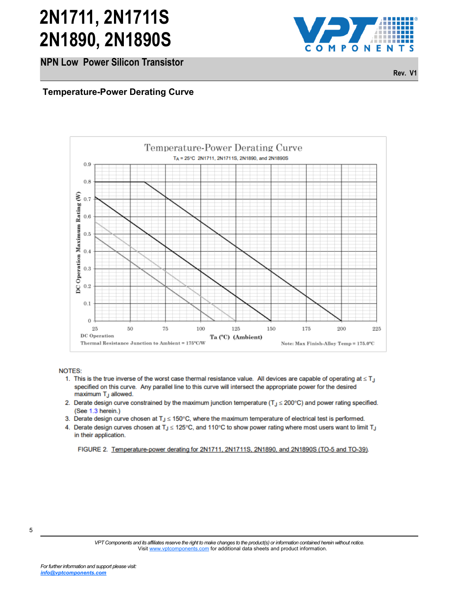**NPN Low Power Silicon Transistor** 



**Rev. V1**



- 
- 
- 
- 

*VPT Components and its affiliates reserve the right to make changes to the product(s) or information contained herein without notice.*  Visit [www.vptcomponents.com](http://www.vptcomponents.com) for additional data sheets and product information.

*For further information and support please visit: [info@vptcomponents.com](mailto:info@vptcomponents.com)*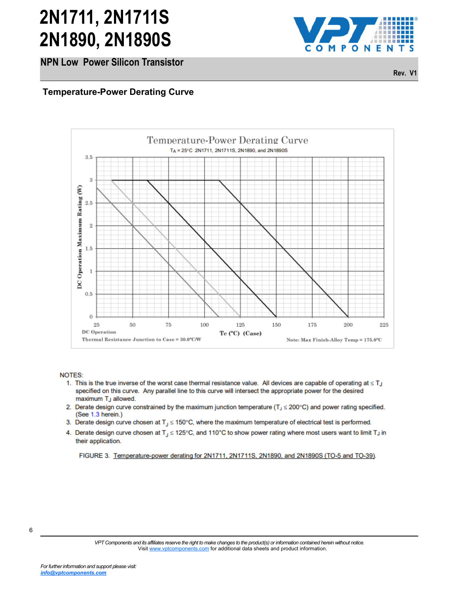**NPN Low Power Silicon Transistor** 



**Rev. V1**



- 
- 
- 
- 

*VPT Components and its affiliates reserve the right to make changes to the product(s) or information contained herein without notice.*  Visit [www.vptcomponents.com](http://www.vptcomponents.com) for additional data sheets and product information.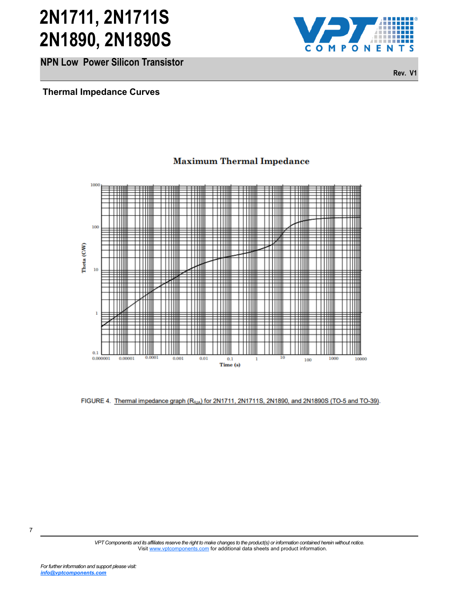**NPN Low Power Silicon Transistor** 



**Rev. V1**



**Maximum Thermal Impedance** 

*VPT Components and its affiliates reserve the right to make changes to the product(s) or information contained herein without notice.*  Visit [www.vptcomponents.com](http://www.vptcomponents.com) for additional data sheets and product information.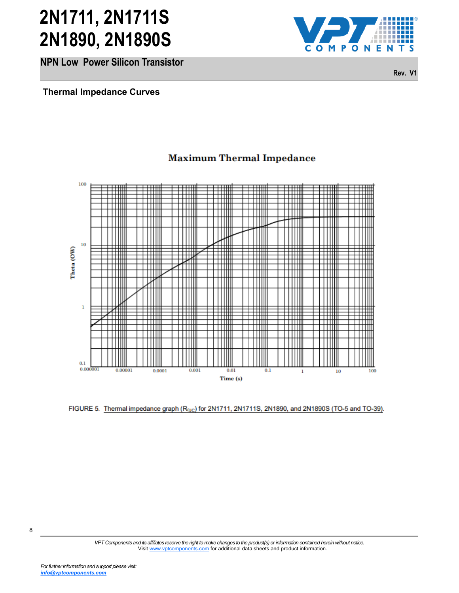**NPN Low Power Silicon Transistor** 



**Rev. V1**



### **Maximum Thermal Impedance**

*VPT Components and its affiliates reserve the right to make changes to the product(s) or information contained herein without notice.*  Visit [www.vptcomponents.com](http://www.vptcomponents.com) for additional data sheets and product information.